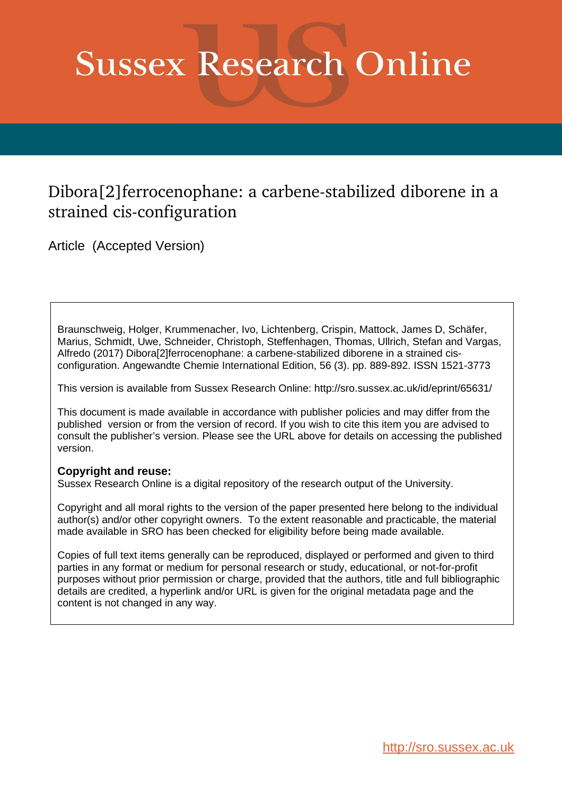# **Sussex Research Online**

## Dibora[2] ferrocenophane: a carbene-stabilized diborene in a strained cis-configuration

Article (Accepted Version)

Braunschweig, Holger, Krummenacher, Ivo, Lichtenberg, Crispin, Mattock, James D, Schäfer, Marius, Schmidt, Uwe, Schneider, Christoph, Steffenhagen, Thomas, Ullrich, Stefan and Vargas, Alfredo (2017) Dibora[2]ferrocenophane: a carbene-stabilized diborene in a strained cisconfiguration. Angewandte Chemie International Edition, 56 (3). pp. 889-892. ISSN 1521-3773

This version is available from Sussex Research Online: http://sro.sussex.ac.uk/id/eprint/65631/

This document is made available in accordance with publisher policies and may differ from the published version or from the version of record. If you wish to cite this item you are advised to consult the publisher's version. Please see the URL above for details on accessing the published version.

### **Copyright and reuse:**

Sussex Research Online is a digital repository of the research output of the University.

Copyright and all moral rights to the version of the paper presented here belong to the individual author(s) and/or other copyright owners. To the extent reasonable and practicable, the material made available in SRO has been checked for eligibility before being made available.

Copies of full text items generally can be reproduced, displayed or performed and given to third parties in any format or medium for personal research or study, educational, or not-for-profit purposes without prior permission or charge, provided that the authors, title and full bibliographic details are credited, a hyperlink and/or URL is given for the original metadata page and the content is not changed in any way.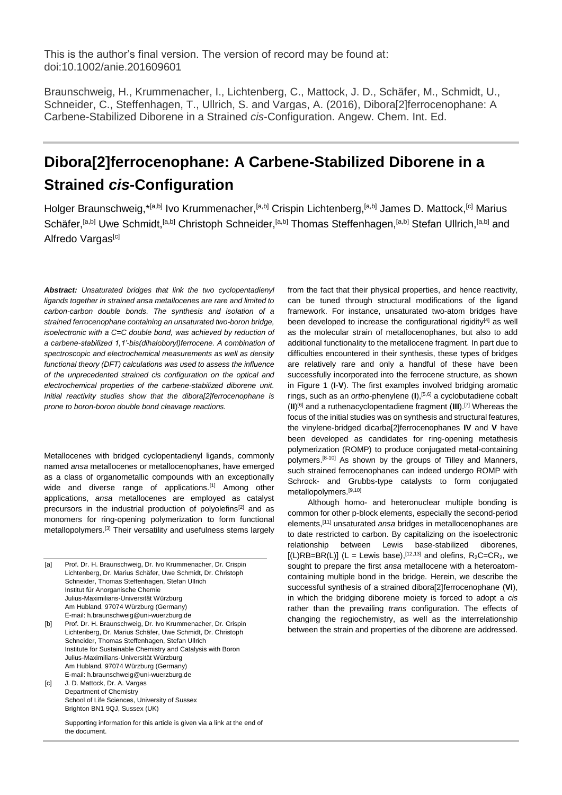Braunschweig, H., Krummenacher, I., Lichtenberg, C., Mattock, J. D., Schäfer, M., Schmidt, U., Schneider, C., Steffenhagen, T., Ullrich, S. and Vargas, A. (2016), Dibora[2]ferrocenophane: A Carbene-Stabilized Diborene in a Strained *cis*-Configuration. Angew. Chem. Int. Ed.

## **Dibora[2]ferrocenophane: A Carbene-Stabilized Diborene in a Strained** *cis***-Configuration**

Holger Braunschweig,\*<sup>[a,b]</sup> Ivo Krummenacher,<sup>[a,b]</sup> Crispin Lichtenberg,<sup>[a,b]</sup> James D. Mattock,<sup>[c]</sup> Marius Schäfer,<sup>[a,b]</sup> Uwe Schmidt,<sup>[a,b]</sup> Christoph Schneider,<sup>[a,b]</sup> Thomas Steffenhagen,<sup>[a,b]</sup> Stefan Ullrich,<sup>[a,b]</sup> and Alfredo Vargas<sup>[c]</sup>

*Abstract: Unsaturated bridges that link the two cyclopentadienyl ligands together in strained ansa metallocenes are rare and limited to carbon-carbon double bonds. The synthesis and isolation of a strained ferrocenophane containing an unsaturated two-boron bridge, isoelectronic with a C=C double bond, was achieved by reduction of a carbene-stabilized 1,1'-bis(dihaloboryl)ferrocene. A combination of spectroscopic and electrochemical measurements as well as density functional theory (DFT) calculations was used to assess the influence of the unprecedented strained cis configuration on the optical and electrochemical properties of the carbene-stabilized diborene unit. Initial reactivity studies show that the dibora[2]ferrocenophane is prone to boron-boron double bond cleavage reactions.*

Metallocenes with bridged cyclopentadienyl ligands, commonly named *ansa* metallocenes or metallocenophanes, have emerged as a class of organometallic compounds with an exceptionally wide and diverse range of applications.<sup>[1]</sup> Among other applications, *ansa* metallocenes are employed as catalyst precursors in the industrial production of polyolefins<sup>[2]</sup> and as monomers for ring-opening polymerization to form functional metallopolymers.<sup>[3]</sup> Their versatility and usefulness stems largely

| [a] | Prof. Dr. H. Braunschweig, Dr. Ivo Krummenacher, Dr. Crispin |
|-----|--------------------------------------------------------------|
|     | Lichtenberg, Dr. Marius Schäfer, Uwe Schmidt, Dr. Christoph  |
|     | Schneider, Thomas Steffenhagen, Stefan Ullrich               |
|     | Institut für Anorganische Chemie                             |
|     | Julius-Maximilians-Universität Würzburg                      |
|     | Am Hubland, 97074 Würzburg (Germany)                         |
|     | E-mail: h.braunschweig@uni-wuerzburg.de                      |
| [b] | Prof. Dr. H. Braunschweig, Dr. Ivo Krummenacher, Dr. Crispin |
|     | Lichtenberg, Dr. Marius Schäfer, Uwe Schmidt, Dr. Christoph  |
|     | Schneider, Thomas Steffenhagen, Stefan Ullrich               |
|     | Institute for Sustainable Chemistry and Catalysis with Boron |
|     | Julius-Maximilians-Universität Würzburg                      |
|     | Am Hubland, 97074 Würzburg (Germany)                         |

E-mail: h.braunschweig@uni-wuerzburg.de [c] J. D. Mattock, Dr. A. Vargas

Department of Chemistry School of Life Sciences, University of Sussex Brighton BN1 9QJ, Sussex (UK)

Supporting information for this article is given via a link at the end of the document.

from the fact that their physical properties, and hence reactivity, can be tuned through structural modifications of the ligand framework. For instance, unsaturated two-atom bridges have been developed to increase the configurational rigidity<sup>[4]</sup> as well as the molecular strain of metallocenophanes, but also to add additional functionality to the metallocene fragment. In part due to difficulties encountered in their synthesis, these types of bridges are relatively rare and only a handful of these have been successfully incorporated into the ferrocene structure, as shown in Figure 1 (**I**-**V**). The first examples involved bridging aromatic rings, such as an *ortho*-phenylene (**I**),[5,6] a cyclobutadiene cobalt (**II**) [6] and a ruthenacyclopentadiene fragment (**III**). [7] Whereas the focus of the initial studies was on synthesis and structural features, the vinylene-bridged dicarba[2]ferrocenophanes **IV** and **V** have been developed as candidates for ring-opening metathesis polymerization (ROMP) to produce conjugated metal-containing polymers.<sup>[8-10]</sup> As shown by the groups of Tilley and Manners, such strained ferrocenophanes can indeed undergo ROMP with Schrock- and Grubbs-type catalysts to form conjugated metallopolymers.[9,10]

Although homo- and heteronuclear multiple bonding is common for other p-block elements, especially the second-period elements,[11] unsaturated *ansa* bridges in metallocenophanes are to date restricted to carbon. By capitalizing on the isoelectronic relationship between Lewis base-stabilized diborenes,  $[(L)RB=BR(L)]$  (L = Lewis base),<sup>[12,13]</sup> and olefins,  $R_2C=CR_2$ , we sought to prepare the first *ansa* metallocene with a heteroatomcontaining multiple bond in the bridge. Herein, we describe the successful synthesis of a strained dibora[2]ferrocenophane (**VI**), in which the bridging diborene moiety is forced to adopt a *cis* rather than the prevailing *trans* configuration. The effects of changing the regiochemistry, as well as the interrelationship between the strain and properties of the diborene are addressed.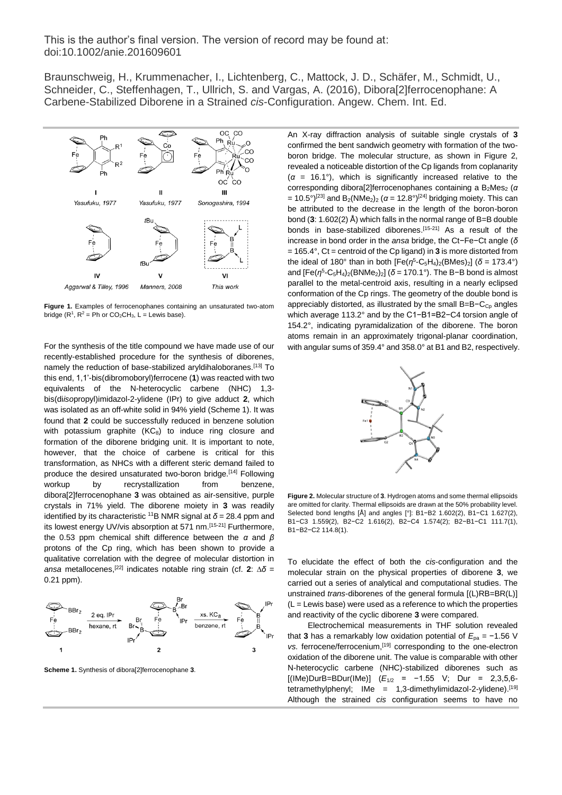Braunschweig, H., Krummenacher, I., Lichtenberg, C., Mattock, J. D., Schäfer, M., Schmidt, U., Schneider, C., Steffenhagen, T., Ullrich, S. and Vargas, A. (2016), Dibora[2]ferrocenophane: A Carbene-Stabilized Diborene in a Strained *cis*-Configuration. Angew. Chem. Int. Ed.



**Figure 1.** Examples of ferrocenophanes containing an unsaturated two-atom bridge ( $R^1$ ,  $R^2$  = Ph or CO<sub>2</sub>CH<sub>3</sub>, L = Lewis base).

For the synthesis of the title compound we have made use of our recently-established procedure for the synthesis of diborenes, namely the reduction of base-stabilized aryldihaloboranes.<sup>[13]</sup> To this end, 1,1'-bis(dibromoboryl)ferrocene (**1**) was reacted with two equivalents of the N-heterocyclic carbene (NHC) 1,3 bis(di*iso*propyl)imidazol-2-ylidene (IPr) to give adduct **2**, which was isolated as an off-white solid in 94% yield (Scheme 1). It was found that **2** could be successfully reduced in benzene solution with potassium graphite  $(KC_8)$  to induce ring closure and formation of the diborene bridging unit. It is important to note, however, that the choice of carbene is critical for this transformation, as NHCs with a different steric demand failed to produce the desired unsaturated two-boron bridge.[14] Following workup by recrystallization from benzene, dibora[2]ferrocenophane **3** was obtained as air-sensitive, purple crystals in 71% yield. The diborene moiety in **3** was readily identified by its characteristic <sup>11</sup>B NMR signal at  $\delta$  = 28.4 ppm and its lowest energy UV/vis absorption at 571 nm.<sup>[15-21]</sup> Furthermore, the 0.53 ppm chemical shift difference between the *α* and *β* protons of the Cp ring, which has been shown to provide a qualitative correlation with the degree of molecular distortion in *ansa* metallocenes,[22] indicates notable ring strain (cf. **2**: *δ* = 0.21 ppm).



**Scheme 1.** Synthesis of dibora[2]ferrocenophane **3**.

An X-ray diffraction analysis of suitable single crystals of **3** confirmed the bent sandwich geometry with formation of the twoboron bridge. The molecular structure, as shown in Figure 2, revealed a noticeable distortion of the Cp ligands from coplanarity (*α* = 16.1°), which is significantly increased relative to the corresponding dibora<sup>[2]</sup>ferrocenophanes containing a B<sub>2</sub>Mes<sub>2</sub> (*α* = 10.5°)<sup>[23]</sup> and B<sub>2</sub>(NMe<sub>2</sub>)<sub>2</sub> (*α* = 12.8°)<sup>[24]</sup> bridging moiety. This can be attributed to the decrease in the length of the boron-boron bond (**3**: 1.602(2) Å) which falls in the normal range of B=B double bonds in base-stabilized diborenes. [15-21] As a result of the increase in bond order in the *ansa* bridge, the Ct−Fe−Ct angle (*δ* = 165.4°, Ct = centroid of the Cp ligand) in **3** is more distorted from the ideal of 180° than in both  $[Fe(n^5-C_5H_4)_2(BMes)_2]$  ( $\delta$  = 173.4°) and [Fe(*η*<sup>5</sup>-C<sub>5</sub>H<sub>4</sub>)<sub>2</sub>(BNMe<sub>2</sub>)<sub>2</sub>] (δ = 170.1°). The B−B bond is almost parallel to the metal-centroid axis, resulting in a nearly eclipsed conformation of the Cp rings. The geometry of the double bond is appreciably distorted, as illustrated by the small B=B−C<sub>Cp</sub> angles which average 113.2° and by the C1−B1=B2−C4 torsion angle of 154.2°, indicating pyramidalization of the diborene. The boron atoms remain in an approximately trigonal-planar coordination, with angular sums of 359.4° and 358.0° at B1 and B2, respectively.



**Figure 2.** Molecular structure of **3**. Hydrogen atoms and some thermal ellipsoids are omitted for clarity. Thermal ellipsoids are drawn at the 50% probability level. Selected bond lengths [Å] and angles [°]: B1−B2 1.602(2), B1−C1 1.627(2), B1−C3 1.559(2), B2−C2 1.616(2), B2−C4 1.574(2); B2−B1−C1 111.7(1), B1−B2−C2 114.8(1).

To elucidate the effect of both the *cis*-configuration and the molecular strain on the physical properties of diborene **3**, we carried out a series of analytical and computational studies. The unstrained *trans*-diborenes of the general formula [(L)RB=BR(L)]  $(L =$  Lewis base) were used as a reference to which the properties and reactivity of the cyclic diborene **3** were compared.

Electrochemical measurements in THF solution revealed that **3** has a remarkably low oxidation potential of  $E_{pa} = −1.56$  V *vs.* ferrocene/ferrocenium, [19] corresponding to the one-electron oxidation of the diborene unit. The value is comparable with other N-heterocyclic carbene (NHC)-stabilized diborenes such as [(IMe)DurB=BDur(IMe)] (*E*1/2 = −1.55 V; Dur = 2,3,5,6 tetramethylphenyl; IMe = 1,3-dimethylimidazol-2-ylidene).<sup>[19]</sup> Although the strained *cis* configuration seems to have no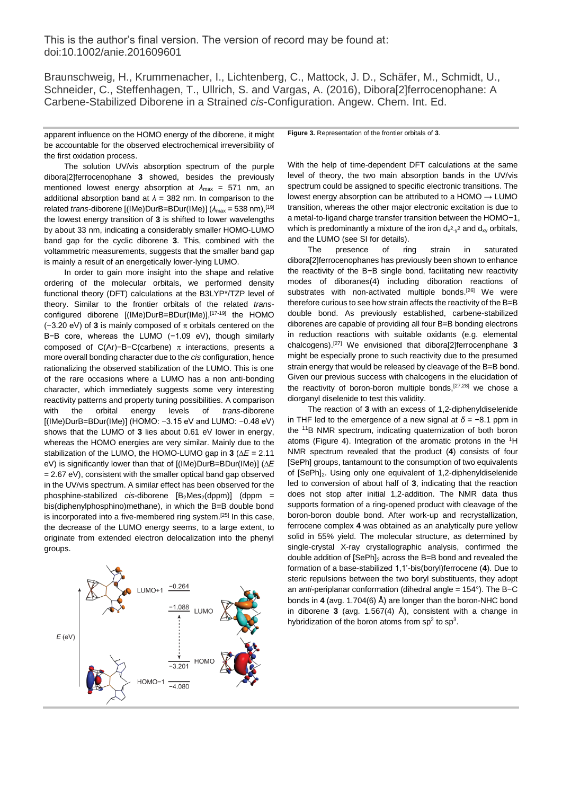Braunschweig, H., Krummenacher, I., Lichtenberg, C., Mattock, J. D., Schäfer, M., Schmidt, U., Schneider, C., Steffenhagen, T., Ullrich, S. and Vargas, A. (2016), Dibora[2]ferrocenophane: A Carbene-Stabilized Diborene in a Strained *cis*-Configuration. Angew. Chem. Int. Ed.

apparent influence on the HOMO energy of the diborene, it might be accountable for the observed electrochemical irreversibility of the first oxidation process.

The solution UV/vis absorption spectrum of the purple dibora[2]ferrocenophane **3** showed, besides the previously mentioned lowest energy absorption at *λ*max = 571 nm, an additional absorption band at  $\lambda = 382$  nm. In comparison to the related *trans*-diborene [(IMe)DurB=BDur(IMe)] (λ<sub>max</sub> = 538 nm),<sup>[19]</sup> the lowest energy transition of **3** is shifted to lower wavelengths by about 33 nm, indicating a considerably smaller HOMO-LUMO band gap for the cyclic diborene **3**. This, combined with the voltammetric measurements, suggests that the smaller band gap is mainly a result of an energetically lower-lying LUMO.

In order to gain more insight into the shape and relative ordering of the molecular orbitals, we performed density functional theory (DFT) calculations at the B3LYP\*/TZP level of theory. Similar to the frontier orbitals of the related *trans*configured diborene [(IMe)DurB=BDur(IMe)], [17-19] the HOMO ( $-3.20$  eV) of **3** is mainly composed of  $\pi$  orbitals centered on the B−B core, whereas the LUMO (−1.09 eV), though similarly composed of C(Ar)−B−C(carbene)  $\pi$  interactions, presents a more overall bonding character due to the *cis* configuration, hence rationalizing the observed stabilization of the LUMO. This is one of the rare occasions where a LUMO has a non anti-bonding character, which immediately suggests some very interesting reactivity patterns and property tuning possibilities. A comparison with the orbital energy levels of *trans*-diborene [(IMe)DurB=BDur(IMe)] (HOMO: −3.15 eV and LUMO: −0.48 eV) shows that the LUMO of **3** lies about 0.61 eV lower in energy, whereas the HOMO energies are very similar. Mainly due to the stabilization of the LUMO, the HOMO-LUMO gap in  $3 (\Delta E = 2.11)$ eV) is significantly lower than that of [(IMe)DurB=BDur(IMe)] (ΔE  $= 2.67$  eV), consistent with the smaller optical band gap observed in the UV/vis spectrum. A similar effect has been observed for the phosphine-stabilized *cis*-diborene  $[B_2Mes_2(dppm)]$  (dppm = bis(diphenylphosphino)methane), in which the B=B double bond is incorporated into a five-membered ring system.<sup>[25]</sup> In this case, the decrease of the LUMO energy seems, to a large extent, to originate from extended electron delocalization into the phenyl groups.

LUMO+<sup>2</sup> LUMO  $E$  (eV)  $-4.080$ 

**Figure 3.** Representation of the frontier orbitals of **3**.

With the help of time-dependent DFT calculations at the same level of theory, the two main absorption bands in the UV/vis spectrum could be assigned to specific electronic transitions. The lowest energy absorption can be attributed to a HOMO  $\rightarrow$  LUMO transition, whereas the other major electronic excitation is due to a metal-to-ligand charge transfer transition between the HOMO−1, which is predominantly a mixture of the iron  $d_{x^2-y^2}$  and  $d_{xy}$  orbitals, and the LUMO (see SI for details).

The presence of ring strain in saturated dibora[2]ferrocenophanes has previously been shown to enhance the reactivity of the B−B single bond, facilitating new reactivity modes of diboranes(4) including diboration reactions of substrates with non-activated multiple bonds.<sup>[26]</sup> We were therefore curious to see how strain affects the reactivity of the B=B double bond. As previously established, carbene-stabilized diborenes are capable of providing all four B=B bonding electrons in reduction reactions with suitable oxidants (e.g. elemental chalcogens). [27] We envisioned that dibora[2]ferrocenphane **3** might be especially prone to such reactivity due to the presumed strain energy that would be released by cleavage of the B=B bond. Given our previous success with chalcogens in the elucidation of the reactivity of boron-boron multiple bonds,<sup>[27,28]</sup> we chose a diorganyl diselenide to test this validity.

The reaction of **3** with an excess of 1,2-diphenyldiselenide in THF led to the emergence of a new signal at *δ* = −8.1 ppm in the <sup>11</sup>B NMR spectrum, indicating quaternization of both boron atoms (Figure 4). Integration of the aromatic protons in the <sup>1</sup>H NMR spectrum revealed that the product (**4**) consists of four [SePh] groups, tantamount to the consumption of two equivalents of [SePh]2. Using only one equivalent of 1,2-diphenyldiselenide led to conversion of about half of **3**, indicating that the reaction does not stop after initial 1,2-addition. The NMR data thus supports formation of a ring-opened product with cleavage of the boron-boron double bond. After work-up and recrystallization, ferrocene complex **4** was obtained as an analytically pure yellow solid in 55% yield. The molecular structure, as determined by single-crystal X-ray crystallographic analysis, confirmed the double addition of [SePh]<sub>2</sub> across the B=B bond and revealed the formation of a base-stabilized 1,1'-bis(boryl)ferrocene (**4**). Due to steric repulsions between the two boryl substituents, they adopt an *anti*-periplanar conformation (dihedral angle = 154°). The B−C bonds in **4** (avg. 1.704(6) Å) are longer than the boron-NHC bond in diborene **3** (avg. 1.567(4) Å), consistent with a change in hybridization of the boron atoms from  $sp^2$  to  $sp^3$ .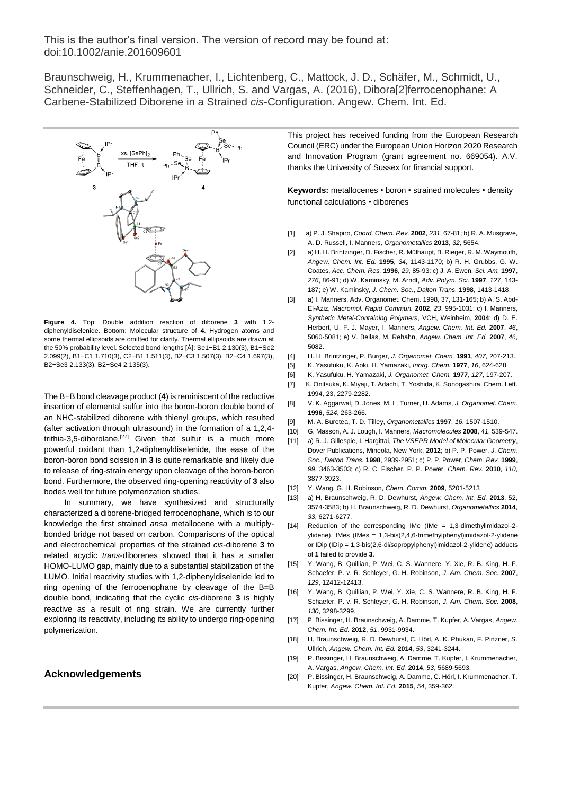Braunschweig, H., Krummenacher, I., Lichtenberg, C., Mattock, J. D., Schäfer, M., Schmidt, U., Schneider, C., Steffenhagen, T., Ullrich, S. and Vargas, A. (2016), Dibora[2]ferrocenophane: A Carbene-Stabilized Diborene in a Strained *cis*-Configuration. Angew. Chem. Int. Ed.



**Figure 4.** Top: Double addition reaction of diborene **3** with 1,2 diphenyldiselenide. Bottom: Molecular structure of **4**. Hydrogen atoms and some thermal ellipsoids are omitted for clarity. Thermal ellipsoids are drawn at the 50% probability level. Selected bond lengths [Å]: Se1−B1 2.130(3), B1−Se2 2.099(2), B1−C1 1.710(3), C2−B1 1.511(3), B2−C3 1.507(3), B2−C4 1.697(3), B2−Se3 2.133(3), B2−Se4 2.135(3).

The B−B bond cleavage product (**4**) is reminiscent of the reductive insertion of elemental sulfur into the boron-boron double bond of an NHC-stabilized diborene with thienyl groups, which resulted (after activation through ultrasound) in the formation of a 1,2,4 trithia-3,5-diborolane.<sup>[27]</sup> Given that sulfur is a much more powerful oxidant than 1,2-diphenyldiselenide, the ease of the boron-boron bond scission in **3** is quite remarkable and likely due to release of ring-strain energy upon cleavage of the boron-boron bond. Furthermore, the observed ring-opening reactivity of **3** also bodes well for future polymerization studies.

In summary, we have synthesized and structurally characterized a diborene-bridged ferrocenophane, which is to our knowledge the first strained *ansa* metallocene with a multiplybonded bridge not based on carbon. Comparisons of the optical and electrochemical properties of the strained *cis*-diborene **3** to related acyclic *trans*-diborenes showed that it has a smaller HOMO-LUMO gap, mainly due to a substantial stabilization of the LUMO. Initial reactivity studies with 1,2-diphenyldiselenide led to ring opening of the ferrocenophane by cleavage of the B=B double bond, indicating that the cyclic *cis*-diborene **3** is highly reactive as a result of ring strain. We are currently further exploring its reactivity, including its ability to undergo ring-opening polymerization.

#### **Acknowledgements**

This project has received funding from the European Research Council (ERC) under the European Union Horizon 2020 Research and Innovation Program (grant agreement no. 669054). A.V. thanks the University of Sussex for financial support.

**Keywords:** metallocenes • boron • strained molecules • density functional calculations • diborenes

- [1] a) P. J. Shapiro, *Coord. Chem. Rev.* **2002**, *231*, 67-81; b) R. A. Musgrave, A. D. Russell, I. Manners, *Organometallics* **2013**, *32*, 5654.
- [2] a) H. H. Brintzinger, D. Fischer, R. Mülhaupt, B. Rieger, R. M. Waymouth, *Angew. Chem. Int. Ed.* **1995**, *34*, 1143-1170; b) R. H. Grubbs, G. W. Coates, *Acc. Chem. Res.* **1996**, *29*, 85-93; c) J. A. Ewen, *Sci. Am.* **1997**, *276*, 86-91; d) W. Kaminsky, M. Arndt, *Adv. Polym. Sci.* **1997**, *127*, 143- 187; e) W. Kaminsky, *J. Chem. Soc.*, *Dalton Trans.* **1998**, 1413-1418.
- [3] a) I. Manners, Adv. Organomet. Chem. 1998, 37, 131-165; b) A. S. Abd-El-Aziz, *Macromol. Rapid Commun.* **2002**, *23*, 995-1031; c) I. Manners, *Synthetic Metal-Containing Polymers*, VCH, Weinheim, **2004**; d) D. E. Herbert, U. F. J. Mayer, I. Manners, *Angew. Chem. Int. Ed.* **2007**, *46*, 5060-5081; e) V. Bellas, M. Rehahn, *Angew. Chem. Int. Ed.* **2007**, *46*, 5082.
- [4] H. H. Brintzinger, P. Burger, *J. Organomet. Chem.* **1991**, *407*, 207-213.
- [5] K. Yasufuku, K. Aoki, H. Yamazaki, *Inorg. Chem.* **1977**, *16*, 624-628.
- [6] K. Yasufuku, H. Yamazaki, *J. Organomet. Chem.* **1977**, *127*, 197-207.
- [7] K. Onitsuka, K. Miyaji, T. Adachi, T. Yoshida, K. Sonogashira, Chem. Lett. 1994, 23, 2279-2282.
- [8] V. K. Aggarwal, D. Jones, M. L. Turner, H. Adams, *J. Organomet. Chem.* **1996**, *524*, 263-266.
- [9] M. A. Buretea, T. D. Tilley, *Organometallics* **1997**, *16*, 1507-1510.
- [10] G. Masson, A. J. Lough, I. Manners, *Macromolecules* **2008**, *41*, 539-547.
- [11] a) R. J. Gillespie, I. Hargittai, *The VSEPR Model of Molecular Geometry*, Dover Publications, Mineola, New York, **2012**; b) P. P. Power, *J. Chem. Soc., Dalton Trans.* **1998**, 2939-2951; c) P. P. Power, *Chem. Rev.* **1999**, *99*, 3463-3503; c) R. C. Fischer, P. P. Power, *Chem. Rev.* **2010**, *110*, 3877-3923.
- [12] Y. Wang, G. H. Robinson, *Chem. Comm.* **2009**, 5201-5213
- [13] a) H. Braunschweig, R. D. Dewhurst, *Angew. Chem. Int. Ed.* **2013**, 52, 3574-3583; b) H. Braunschweig, R. D. Dewhurst, *Organometallics* **2014**, *33*, 6271-6277.
- [14] Reduction of the corresponding IMe (IMe = 1,3-dimethylimidazol-2ylidene), IMes (IMes = 1,3-bis(2,4,6-trimethylphenyl)imidazol-2-ylidene or IDip (IDip = 1,3-bis(2,6-di*iso*propylphenyl)imidazol-2-ylidene) adducts of **1** failed to provide **3**.
- [15] Y. Wang, B. Quillian, P. Wei, C. S. Wannere, Y. Xie, R. B. King, H. F. Schaefer, P. v. R. Schleyer, G. H. Robinson, *J. Am. Chem. Soc.* **2007**, *129*, 12412-12413.
- [16] Y. Wang, B. Quillian, P. Wei, Y. Xie, C. S. Wannere, R. B. King, H. F. Schaefer, P. v. R. Schleyer, G. H. Robinson, *J. Am. Chem. Soc.* **2008**, *130*, 3298-3299.
- [17] P. Bissinger, H. Braunschweig, A. Damme, T. Kupfer, A. Vargas, *Angew. Chem. Int. Ed.* **2012**, *51*, 9931-9934.
- [18] H. Braunschweig, R. D. Dewhurst, C. Hörl, A. K. Phukan, F. Pinzner, S. Ullrich, *Angew. Chem. Int. Ed.* **2014**, *53*, 3241-3244.
- [19] P. Bissinger, H. Braunschweig, A. Damme, T. Kupfer, I. Krummenacher, A. Vargas, *Angew. Chem. Int. Ed.* **2014**, *53*, 5689-5693.
- [20] P. Bissinger, H. Braunschweig, A. Damme, C. Hörl, I. Krummenacher, T. Kupfer, *Angew. Chem. Int. Ed.* **2015**, *54*, 359-362.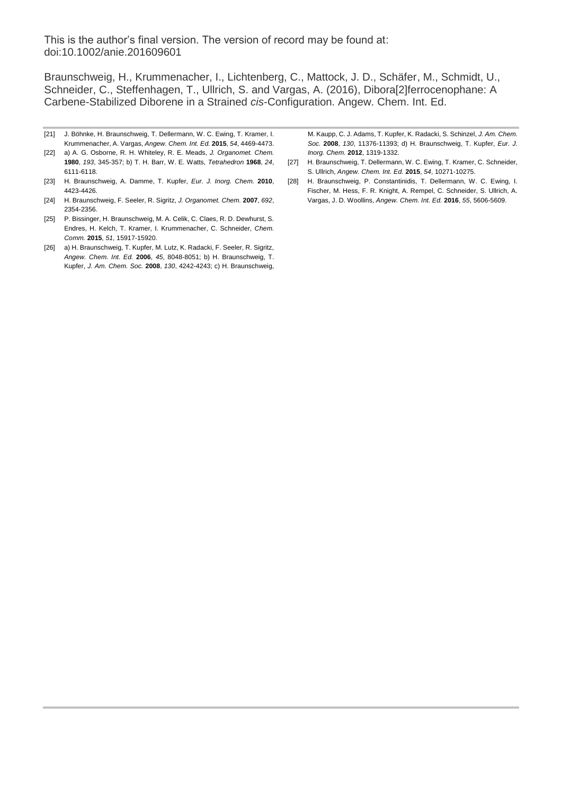Braunschweig, H., Krummenacher, I., Lichtenberg, C., Mattock, J. D., Schäfer, M., Schmidt, U., Schneider, C., Steffenhagen, T., Ullrich, S. and Vargas, A. (2016), Dibora[2]ferrocenophane: A Carbene-Stabilized Diborene in a Strained *cis*-Configuration. Angew. Chem. Int. Ed.

- [21] J. Böhnke, H. Braunschweig, T. Dellermann, W. C. Ewing, T. Kramer, I. Krummenacher, A. Vargas, *Angew. Chem. Int. Ed.* **2015**, *54*, 4469-4473.
- [22] a) A. G. Osborne, R. H. Whiteley, R. E. Meads, *J. Organomet. Chem.* **1980**, *193*, 345-357; b) T. H. Barr, W. E. Watts, *Tetrahedron* **1968**, *24*, 6111-6118.
- [23] H. Braunschweig, A. Damme, T. Kupfer, *Eur. J. Inorg. Chem.* **2010**, 4423-4426.
- [24] H. Braunschweig, F. Seeler, R. Sigritz, *J. Organomet. Chem.* **2007**, *692*, 2354-2356.
- [25] P. Bissinger, H. Braunschweig, M. A. Celik, C. Claes, R. D. Dewhurst, S. Endres, H. Kelch, T. Kramer, I. Krummenacher, C. Schneider, *Chem. Comm.* **2015**, *51*, 15917-15920.
- [26] a) H. Braunschweig, T. Kupfer, M. Lutz, K. Radacki, F. Seeler, R. Sigritz, *Angew. Chem. Int. Ed.* **2006**, *45*, 8048-8051; b) H. Braunschweig, T. Kupfer, *J. Am. Chem. Soc.* **2008**, *130*, 4242-4243; c) H. Braunschweig,

M. Kaupp, C. J. Adams, T. Kupfer, K. Radacki, S. Schinzel, *J. Am. Chem. Soc.* **2008**, *130*, 11376-11393; d) H. Braunschweig, T. Kupfer, *Eur. J. Inorg. Chem.* **2012**, 1319-1332.

- [27] H. Braunschweig, T. Dellermann, W. C. Ewing, T. Kramer, C. Schneider, S. Ullrich, *Angew. Chem. Int. Ed.* **2015**, *54*, 10271-10275.
- [28] H. Braunschweig, P. Constantinidis, T. Dellermann, W. C. Ewing, I. Fischer, M. Hess, F. R. Knight, A. Rempel, C. Schneider, S. Ullrich, A. Vargas, J. D. Woollins, *Angew. Chem. Int. Ed.* **2016**, *55*, 5606-5609.